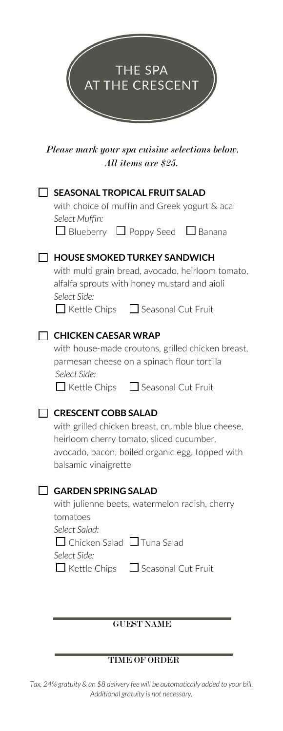

*Please mark your spa cuisine selections below. All items are \$25.*

| <b>SEASONAL TROPICAL FRUIT SALAD</b><br>with choice of muffin and Greek yogurt & acai<br>Select Muffin:                                                                                                   |
|-----------------------------------------------------------------------------------------------------------------------------------------------------------------------------------------------------------|
| $\Box$ Blueberry $\Box$ Poppy Seed $\Box$ Banana                                                                                                                                                          |
| <b>HOUSE SMOKED TURKEY SANDWICH</b><br>with multi grain bread, avocado, heirloom tomato,<br>alfalfa sprouts with honey mustard and aioli<br>Select Side:<br>$\Box$ Kettle Chips $\Box$ Seasonal Cut Fruit |
| <b>CHICKEN CAESAR WRAP</b>                                                                                                                                                                                |
| with house-made croutons, grilled chicken breast,<br>parmesan cheese on a spinach flour tortilla<br>Select Side:                                                                                          |
| □ Kettle Chips □ Seasonal Cut Fruit                                                                                                                                                                       |
| <b>CRESCENT COBB SALAD</b><br>with grilled chicken breast, crumble blue cheese,<br>heirloom cherry tomato, sliced cucumber,<br>avocado, bacon, boiled organic egg, topped with<br>balsamic vinaigrette    |
| <b>GARDEN SPRING SALAD</b>                                                                                                                                                                                |
| with julienne beets, watermelon radish, cherry<br>tomatoes<br>Select Salad:                                                                                                                               |
| $\Box$ Chicken Salad $\Box$ Tuna Salad                                                                                                                                                                    |
| Select Side:<br>$\Box$ Kettle Chips $\Box$ Seasonal Cut Fruit                                                                                                                                             |
|                                                                                                                                                                                                           |
| <b>GUEST NAME</b>                                                                                                                                                                                         |

## TIME OF ORDER

*Tax, 24% gratuity & an \$8 delivery fee will be automatically added to your bill. Additional gratuity is not necessary.*